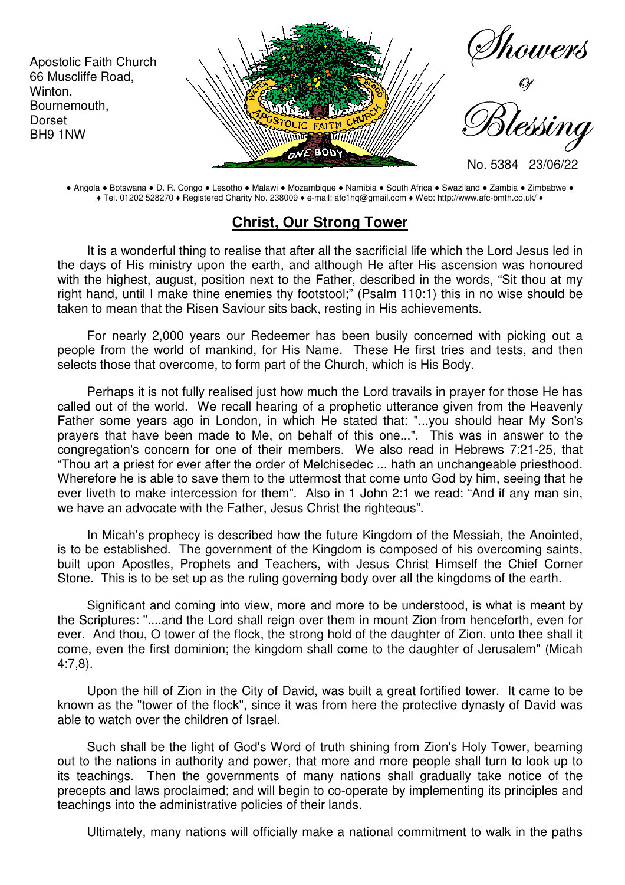

● Angola ● Botswana ● D. R. Congo ● Lesotho ● Malawi ● Mozambique ● Namibia ● South Africa ● Swaziland ● Zambia ● Zimbabwe ● ♦ Tel. 01202 528270 ♦ Registered Charity No. 238009 ♦ e-mail: afc1hq@gmail.com ♦ Web: http://www.afc-bmth.co.uk/ ♦

## **Christ, Our Strong Tower**

It is a wonderful thing to realise that after all the sacrificial life which the Lord Jesus led in the days of His ministry upon the earth, and although He after His ascension was honoured with the highest, august, position next to the Father, described in the words, "Sit thou at my right hand, until I make thine enemies thy footstool;" (Psalm 110:1) this in no wise should be taken to mean that the Risen Saviour sits back, resting in His achievements.

For nearly 2,000 years our Redeemer has been busily concerned with picking out a people from the world of mankind, for His Name. These He first tries and tests, and then selects those that overcome, to form part of the Church, which is His Body.

Perhaps it is not fully realised just how much the Lord travails in prayer for those He has called out of the world. We recall hearing of a prophetic utterance given from the Heavenly Father some years ago in London, in which He stated that: "...you should hear My Son's prayers that have been made to Me, on behalf of this one...". This was in answer to the congregation's concern for one of their members. We also read in Hebrews 7:21-25, that "Thou art a priest for ever after the order of Melchisedec ... hath an unchangeable priesthood. Wherefore he is able to save them to the uttermost that come unto God by him, seeing that he ever liveth to make intercession for them". Also in 1 John 2:1 we read: "And if any man sin, we have an advocate with the Father, Jesus Christ the righteous".

In Micah's prophecy is described how the future Kingdom of the Messiah, the Anointed, is to be established. The government of the Kingdom is composed of his overcoming saints, built upon Apostles, Prophets and Teachers, with Jesus Christ Himself the Chief Corner Stone. This is to be set up as the ruling governing body over all the kingdoms of the earth.

Significant and coming into view, more and more to be understood, is what is meant by the Scriptures: "....and the Lord shall reign over them in mount Zion from henceforth, even for ever. And thou, O tower of the flock, the strong hold of the daughter of Zion, unto thee shall it come, even the first dominion; the kingdom shall come to the daughter of Jerusalem" (Micah 4:7,8).

Upon the hill of Zion in the City of David, was built a great fortified tower. It came to be known as the "tower of the flock", since it was from here the protective dynasty of David was able to watch over the children of Israel.

Such shall be the light of God's Word of truth shining from Zion's Holy Tower, beaming out to the nations in authority and power, that more and more people shall turn to look up to its teachings. Then the governments of many nations shall gradually take notice of the precepts and laws proclaimed; and will begin to co-operate by implementing its principles and teachings into the administrative policies of their lands.

Ultimately, many nations will officially make a national commitment to walk in the paths